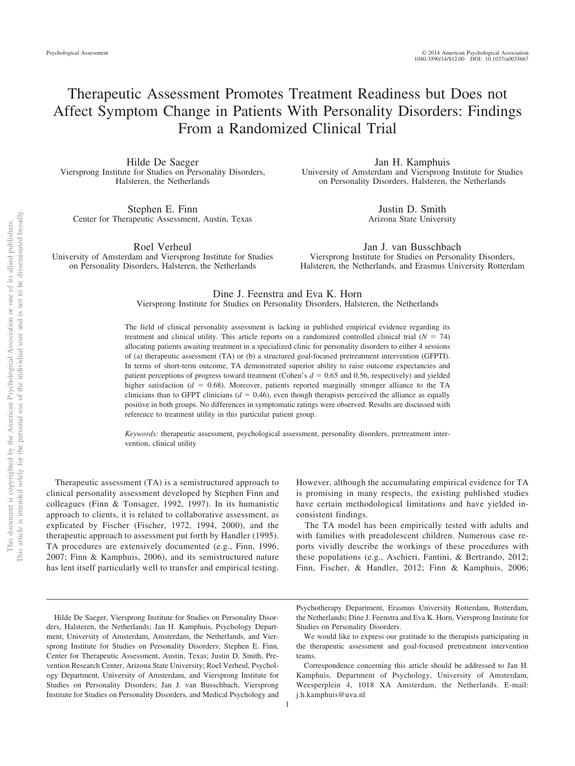# Therapeutic Assessment Promotes Treatment Readiness but Does not Affect Symptom Change in Patients With Personality Disorders: Findings From a Randomized Clinical Trial

Hilde De Saeger Viersprong Institute for Studies on Personality Disorders, Halsteren, the Netherlands

Stephen E. Finn Center for Therapeutic Assessment, Austin, Texas

Roel Verheul University of Amsterdam and Viersprong Institute for Studies on Personality Disorders, Halsteren, the Netherlands

Jan H. Kamphuis University of Amsterdam and Viersprong Institute for Studies on Personality Disorders, Halsteren, the Netherlands

> Justin D. Smith Arizona State University

Jan J. van Busschbach Viersprong Institute for Studies on Personality Disorders, Halsteren, the Netherlands, and Erasmus University Rotterdam

Dine J. Feenstra and Eva K. Horn

Viersprong Institute for Studies on Personality Disorders, Halsteren, the Netherlands

The field of clinical personality assessment is lacking in published empirical evidence regarding its treatment and clinical utility. This article reports on a randomized controlled clinical trial  $(N = 74)$ allocating patients awaiting treatment in a specialized clinic for personality disorders to either 4 sessions of (a) therapeutic assessment (TA) or (b) a structured goal-focused pretreatment intervention (GFPTI). In terms of short-term outcome, TA demonstrated superior ability to raise outcome expectancies and patient perceptions of progress toward treatment (Cohen's  $d = 0.65$  and 0.56, respectively) and yielded higher satisfaction  $(d = 0.68)$ . Moreover, patients reported marginally stronger alliance to the TA clinicians than to GFPT clinicians  $(d = 0.46)$ , even though therapists perceived the alliance as equally positive in both groups. No differences in symptomatic ratings were observed. Results are discussed with reference to treatment utility in this particular patient group.

*Keywords:* therapeutic assessment, psychological assessment, personality disorders, pretreatment intervention, clinical utility

1

Therapeutic assessment (TA) is a semistructured approach to clinical personality assessment developed by Stephen Finn and colleagues (Finn & Tonsager, 1992, 1997). In its humanistic approach to clients, it is related to collaborative assessment, as explicated by Fischer (Fischer, 1972, 1994, 2000), and the therapeutic approach to assessment put forth by Handler (1995). TA procedures are extensively documented (e.g., Finn, 1996, 2007; Finn & Kamphuis, 2006), and its semistructured nature has lent itself particularly well to transfer and empirical testing.

However, although the accumulating empirical evidence for TA is promising in many respects, the existing published studies have certain methodological limitations and have yielded inconsistent findings.

The TA model has been empirically tested with adults and with families with preadolescent children. Numerous case reports vividly describe the workings of these procedures with these populations (e.g., Aschieri, Fantini, & Bertrando, 2012; Finn, Fischer, & Handler, 2012; Finn & Kamphuis, 2006;

Hilde De Saeger, Viersprong Institute for Studies on Personality Disorders, Halsteren, the Netherlands; Jan H. Kamphuis, Psychology Department, University of Amsterdam, Amsterdam, the Netherlands, and Viersprong Institute for Studies on Personality Disorders; Stephen E. Finn, Center for Therapeutic Assessment, Austin, Texas; Justin D. Smith, Prevention Research Center, Arizona State University; Roel Verheul, Psychology Department, University of Amsterdam, and Viersprong Institute for Studies on Personality Disorders; Jan J. van Busschbach, Viersprong Institute for Studies on Personality Disorders, and Medical Psychology and

Psychotherapy Department, Erasmus University Rotterdam, Rotterdam, the Netherlands; Dine J. Feenstra and Eva K. Horn, Viersprong Institute for Studies on Personality Disorders.

We would like to express our gratitude to the therapists participating in the therapeutic assessment and goal-focused pretreatment intervention teams.

Correspondence concerning this article should be addressed to Jan H. Kamphuis, Department of Psychology, University of Amsterdam, Weesperplein 4, 1018 XA Amsterdam, the Netherlands. E-mail: j.h.kamphuis@uva.nl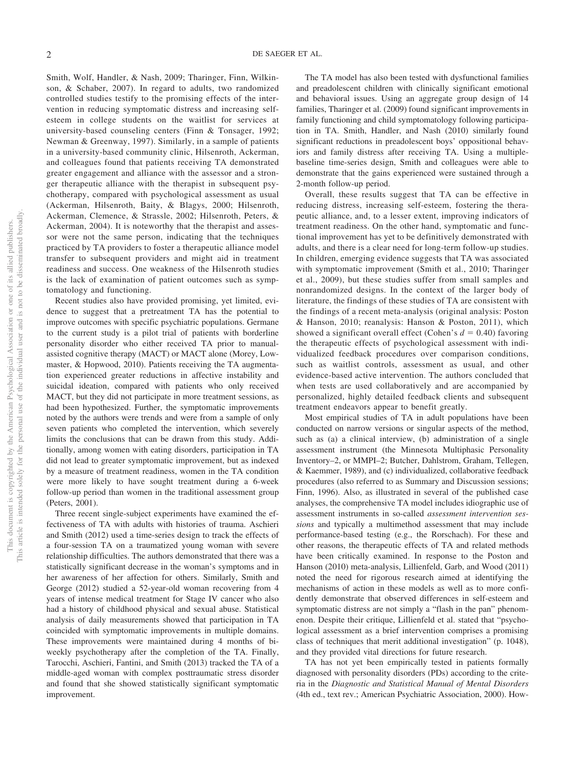Smith, Wolf, Handler, & Nash, 2009; Tharinger, Finn, Wilkinson, & Schaber, 2007). In regard to adults, two randomized controlled studies testify to the promising effects of the intervention in reducing symptomatic distress and increasing selfesteem in college students on the waitlist for services at university-based counseling centers (Finn & Tonsager, 1992; Newman & Greenway, 1997). Similarly, in a sample of patients in a university-based community clinic, Hilsenroth, Ackerman, and colleagues found that patients receiving TA demonstrated greater engagement and alliance with the assessor and a stronger therapeutic alliance with the therapist in subsequent psychotherapy, compared with psychological assessment as usual (Ackerman, Hilsenroth, Baity, & Blagys, 2000; Hilsenroth, Ackerman, Clemence, & Strassle, 2002; Hilsenroth, Peters, & Ackerman, 2004). It is noteworthy that the therapist and assessor were not the same person, indicating that the techniques practiced by TA providers to foster a therapeutic alliance model transfer to subsequent providers and might aid in treatment readiness and success. One weakness of the Hilsenroth studies is the lack of examination of patient outcomes such as symptomatology and functioning.

Recent studies also have provided promising, yet limited, evidence to suggest that a pretreatment TA has the potential to improve outcomes with specific psychiatric populations. Germane to the current study is a pilot trial of patients with borderline personality disorder who either received TA prior to manualassisted cognitive therapy (MACT) or MACT alone (Morey, Lowmaster, & Hopwood, 2010). Patients receiving the TA augmentation experienced greater reductions in affective instability and suicidal ideation, compared with patients who only received MACT, but they did not participate in more treatment sessions, as had been hypothesized. Further, the symptomatic improvements noted by the authors were trends and were from a sample of only seven patients who completed the intervention, which severely limits the conclusions that can be drawn from this study. Additionally, among women with eating disorders, participation in TA did not lead to greater symptomatic improvement, but as indexed by a measure of treatment readiness, women in the TA condition were more likely to have sought treatment during a 6-week follow-up period than women in the traditional assessment group (Peters, 2001).

Three recent single-subject experiments have examined the effectiveness of TA with adults with histories of trauma. Aschieri and Smith (2012) used a time-series design to track the effects of a four-session TA on a traumatized young woman with severe relationship difficulties. The authors demonstrated that there was a statistically significant decrease in the woman's symptoms and in her awareness of her affection for others. Similarly, Smith and George (2012) studied a 52-year-old woman recovering from 4 years of intense medical treatment for Stage IV cancer who also had a history of childhood physical and sexual abuse. Statistical analysis of daily measurements showed that participation in TA coincided with symptomatic improvements in multiple domains. These improvements were maintained during 4 months of biweekly psychotherapy after the completion of the TA. Finally, Tarocchi, Aschieri, Fantini, and Smith (2013) tracked the TA of a middle-aged woman with complex posttraumatic stress disorder and found that she showed statistically significant symptomatic improvement.

The TA model has also been tested with dysfunctional families and preadolescent children with clinically significant emotional and behavioral issues. Using an aggregate group design of 14 families, Tharinger et al. (2009) found significant improvements in family functioning and child symptomatology following participation in TA. Smith, Handler, and Nash (2010) similarly found significant reductions in preadolescent boys' oppositional behaviors and family distress after receiving TA. Using a multiplebaseline time-series design, Smith and colleagues were able to demonstrate that the gains experienced were sustained through a 2-month follow-up period.

Overall, these results suggest that TA can be effective in reducing distress, increasing self-esteem, fostering the therapeutic alliance, and, to a lesser extent, improving indicators of treatment readiness. On the other hand, symptomatic and functional improvement has yet to be definitively demonstrated with adults, and there is a clear need for long-term follow-up studies. In children, emerging evidence suggests that TA was associated with symptomatic improvement (Smith et al., 2010; Tharinger et al., 2009), but these studies suffer from small samples and nonrandomized designs. In the context of the larger body of literature, the findings of these studies of TA are consistent with the findings of a recent meta-analysis (original analysis: Poston & Hanson, 2010; reanalysis: Hanson & Poston, 2011), which showed a significant overall effect (Cohen's  $d = 0.40$ ) favoring the therapeutic effects of psychological assessment with individualized feedback procedures over comparison conditions, such as waitlist controls, assessment as usual, and other evidence-based active intervention. The authors concluded that when tests are used collaboratively and are accompanied by personalized, highly detailed feedback clients and subsequent treatment endeavors appear to benefit greatly.

Most empirical studies of TA in adult populations have been conducted on narrow versions or singular aspects of the method, such as (a) a clinical interview, (b) administration of a single assessment instrument (the Minnesota Multiphasic Personality Inventory–2, or MMPI–2; Butcher, Dahlstrom, Graham, Tellegen, & Kaemmer, 1989), and (c) individualized, collaborative feedback procedures (also referred to as Summary and Discussion sessions; Finn, 1996). Also, as illustrated in several of the published case analyses, the comprehensive TA model includes idiographic use of assessment instruments in so-called *assessment intervention sessions* and typically a multimethod assessment that may include performance-based testing (e.g., the Rorschach). For these and other reasons, the therapeutic effects of TA and related methods have been critically examined. In response to the Poston and Hanson (2010) meta-analysis, Lillienfeld, Garb, and Wood (2011) noted the need for rigorous research aimed at identifying the mechanisms of action in these models as well as to more confidently demonstrate that observed differences in self-esteem and symptomatic distress are not simply a "flash in the pan" phenomenon. Despite their critique, Lillienfeld et al. stated that "psychological assessment as a brief intervention comprises a promising class of techniques that merit additional investigation" (p. 1048), and they provided vital directions for future research.

TA has not yet been empirically tested in patients formally diagnosed with personality disorders (PDs) according to the criteria in the *Diagnostic and Statistical Manual of Mental Disorders* (4th ed., text rev.; American Psychiatric Association, 2000). How-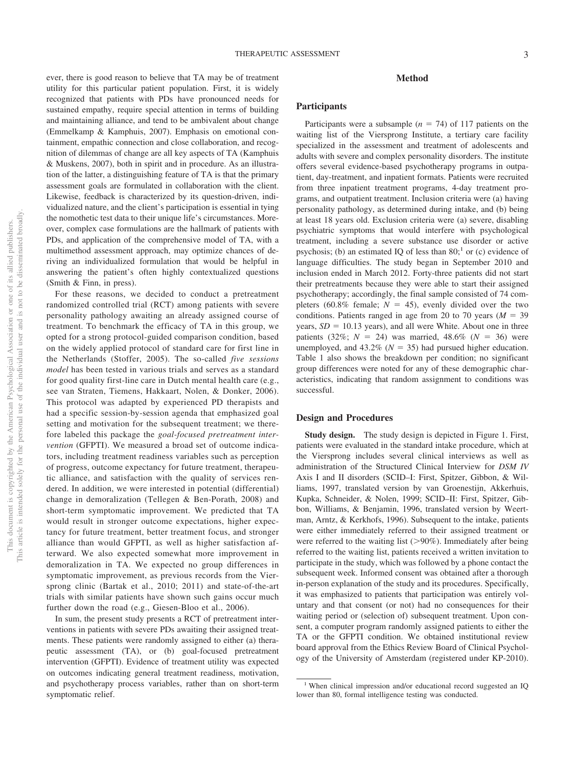## **Method**

# **Participants**

Participants were a subsample  $(n = 74)$  of 117 patients on the waiting list of the Viersprong Institute, a tertiary care facility specialized in the assessment and treatment of adolescents and adults with severe and complex personality disorders. The institute offers several evidence-based psychotherapy programs in outpatient, day-treatment, and inpatient formats. Patients were recruited from three inpatient treatment programs, 4-day treatment programs, and outpatient treatment. Inclusion criteria were (a) having personality pathology, as determined during intake, and (b) being at least 18 years old. Exclusion criteria were (a) severe, disabling psychiatric symptoms that would interfere with psychological treatment, including a severe substance use disorder or active psychosis; (b) an estimated IQ of less than  $80<sup>1</sup>$  or (c) evidence of language difficulties. The study began in September 2010 and inclusion ended in March 2012. Forty-three patients did not start their pretreatments because they were able to start their assigned psychotherapy; accordingly, the final sample consisted of 74 completers (60.8% female;  $N = 45$ ), evenly divided over the two conditions. Patients ranged in age from 20 to 70 years  $(M = 39)$ years,  $SD = 10.13$  years), and all were White. About one in three patients (32%;  $N = 24$ ) was married, 48.6% ( $N = 36$ ) were unemployed, and  $43.2\%$  ( $N = 35$ ) had pursued higher education. Table 1 also shows the breakdown per condition; no significant group differences were noted for any of these demographic characteristics, indicating that random assignment to conditions was successful.

## **Design and Procedures**

**Study design.** The study design is depicted in Figure 1. First, patients were evaluated in the standard intake procedure, which at the Viersprong includes several clinical interviews as well as administration of the Structured Clinical Interview for *DSM IV* Axis I and II disorders (SCID–I: First, Spitzer, Gibbon, & Williams, 1997, translated version by van Groenestijn, Akkerhuis, Kupka, Schneider, & Nolen, 1999; SCID–II: First, Spitzer, Gibbon, Williams, & Benjamin, 1996, translated version by Weertman, Arntz, & Kerkhofs, 1996). Subsequent to the intake, patients were either immediately referred to their assigned treatment or were referred to the waiting list  $(>90\%)$ . Immediately after being referred to the waiting list, patients received a written invitation to participate in the study, which was followed by a phone contact the subsequent week. Informed consent was obtained after a thorough in-person explanation of the study and its procedures. Specifically, it was emphasized to patients that participation was entirely voluntary and that consent (or not) had no consequences for their waiting period or (selection of) subsequent treatment. Upon consent, a computer program randomly assigned patients to either the TA or the GFPTI condition. We obtained institutional review board approval from the Ethics Review Board of Clinical Psychology of the University of Amsterdam (registered under KP-2010).

ever, there is good reason to believe that TA may be of treatment utility for this particular patient population. First, it is widely recognized that patients with PDs have pronounced needs for sustained empathy, require special attention in terms of building and maintaining alliance, and tend to be ambivalent about change (Emmelkamp & Kamphuis, 2007). Emphasis on emotional containment, empathic connection and close collaboration, and recognition of dilemmas of change are all key aspects of TA (Kamphuis & Muskens, 2007), both in spirit and in procedure. As an illustration of the latter, a distinguishing feature of TA is that the primary assessment goals are formulated in collaboration with the client. Likewise, feedback is characterized by its question-driven, individualized nature, and the client's participation is essential in tying the nomothetic test data to their unique life's circumstances. Moreover, complex case formulations are the hallmark of patients with PDs, and application of the comprehensive model of TA, with a multimethod assessment approach, may optimize chances of deriving an individualized formulation that would be helpful in answering the patient's often highly contextualized questions (Smith & Finn, in press).

For these reasons, we decided to conduct a pretreatment randomized controlled trial (RCT) among patients with severe personality pathology awaiting an already assigned course of treatment. To benchmark the efficacy of TA in this group, we opted for a strong protocol-guided comparison condition, based on the widely applied protocol of standard care for first line in the Netherlands (Stoffer, 2005). The so-called *five sessions model* has been tested in various trials and serves as a standard for good quality first-line care in Dutch mental health care (e.g., see van Straten, Tiemens, Hakkaart, Nolen, & Donker, 2006). This protocol was adapted by experienced PD therapists and had a specific session-by-session agenda that emphasized goal setting and motivation for the subsequent treatment; we therefore labeled this package the *goal-focused pretreatment intervention* (GFPTI). We measured a broad set of outcome indicators, including treatment readiness variables such as perception of progress, outcome expectancy for future treatment, therapeutic alliance, and satisfaction with the quality of services rendered. In addition, we were interested in potential (differential) change in demoralization (Tellegen & Ben-Porath, 2008) and short-term symptomatic improvement. We predicted that TA would result in stronger outcome expectations, higher expectancy for future treatment, better treatment focus, and stronger alliance than would GFPTI, as well as higher satisfaction afterward. We also expected somewhat more improvement in demoralization in TA. We expected no group differences in symptomatic improvement, as previous records from the Viersprong clinic (Bartak et al., 2010; 2011) and state-of-the-art trials with similar patients have shown such gains occur much further down the road (e.g., Giesen-Bloo et al., 2006).

In sum, the present study presents a RCT of pretreatment interventions in patients with severe PDs awaiting their assigned treatments. These patients were randomly assigned to either (a) therapeutic assessment (TA), or (b) goal-focused pretreatment intervention (GFPTI). Evidence of treatment utility was expected on outcomes indicating general treatment readiness, motivation, and psychotherapy process variables, rather than on short-term symptomatic relief.

<sup>&</sup>lt;sup>1</sup> When clinical impression and/or educational record suggested an IQ lower than 80, formal intelligence testing was conducted.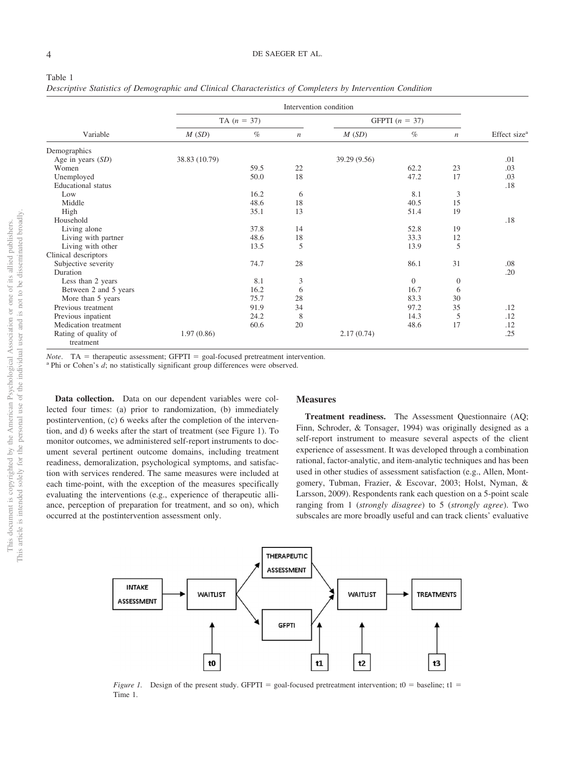#### Table 1

*Descriptive Statistics of Demographic and Clinical Characteristics of Completers by Intervention Condition*

| Variable                          | Intervention condition |      |                  |                  |          |                  |                          |  |
|-----------------------------------|------------------------|------|------------------|------------------|----------|------------------|--------------------------|--|
|                                   | TA $(n = 37)$          |      |                  | GFPTI $(n = 37)$ |          |                  |                          |  |
|                                   | M(SD)                  | $\%$ | $\boldsymbol{n}$ | M(SD)            | $\%$     | $\boldsymbol{n}$ | Effect size <sup>a</sup> |  |
| Demographics                      |                        |      |                  |                  |          |                  |                          |  |
| Age in years $(SD)$               | 38.83 (10.79)          |      |                  | 39.29 (9.56)     |          |                  | .01                      |  |
| Women                             |                        | 59.5 | 22               |                  | 62.2     | 23               | .03                      |  |
| Unemployed                        |                        | 50.0 | 18               |                  | 47.2     | 17               | .03                      |  |
| <b>Educational</b> status         |                        |      |                  |                  |          |                  | .18                      |  |
| Low                               |                        | 16.2 | 6                |                  | 8.1      | 3                |                          |  |
| Middle                            |                        | 48.6 | 18               |                  | 40.5     | 15               |                          |  |
| High                              |                        | 35.1 | 13               |                  | 51.4     | 19               |                          |  |
| Household                         |                        |      |                  |                  |          |                  | .18                      |  |
| Living alone                      |                        | 37.8 | 14               |                  | 52.8     | 19               |                          |  |
| Living with partner               |                        | 48.6 | 18               |                  | 33.3     | 12               |                          |  |
| Living with other                 |                        | 13.5 | 5                |                  | 13.9     | 5                |                          |  |
| Clinical descriptors              |                        |      |                  |                  |          |                  |                          |  |
| Subjective severity               |                        | 74.7 | 28               |                  | 86.1     | 31               | .08                      |  |
| Duration                          |                        |      |                  |                  |          |                  | .20                      |  |
| Less than 2 years                 |                        | 8.1  | 3                |                  | $\Omega$ | $\mathbf{0}$     |                          |  |
| Between 2 and 5 years             |                        | 16.2 | 6                |                  | 16.7     | 6                |                          |  |
| More than 5 years                 |                        | 75.7 | 28               |                  | 83.3     | 30               |                          |  |
| Previous treatment                |                        | 91.9 | 34               |                  | 97.2     | 35               | .12                      |  |
| Previous inpatient                |                        | 24.2 | 8                |                  | 14.3     | 5                | .12                      |  |
| Medication treatment              |                        | 60.6 | 20               |                  | 48.6     | 17               | .12                      |  |
| Rating of quality of<br>treatment | 1.97(0.86)             |      |                  | 2.17(0.74)       |          |                  | .25                      |  |

*Note*. TA = therapeutic assessment; GFPTI = goal-focused pretreatment intervention. <sup>a</sup> Phi or Cohen's *d*; no statistically significant group differences were observed.

**Data collection.** Data on our dependent variables were collected four times: (a) prior to randomization, (b) immediately postintervention, (c) 6 weeks after the completion of the intervention, and d) 6 weeks after the start of treatment (see Figure 1). To monitor outcomes, we administered self-report instruments to document several pertinent outcome domains, including treatment readiness, demoralization, psychological symptoms, and satisfaction with services rendered. The same measures were included at each time-point, with the exception of the measures specifically evaluating the interventions (e.g., experience of therapeutic alliance, perception of preparation for treatment, and so on), which occurred at the postintervention assessment only.

## **Measures**

**Treatment readiness.** The Assessment Questionnaire (AQ; Finn, Schroder, & Tonsager, 1994) was originally designed as a self-report instrument to measure several aspects of the client experience of assessment. It was developed through a combination rational, factor-analytic, and item-analytic techniques and has been used in other studies of assessment satisfaction (e.g., Allen, Montgomery, Tubman, Frazier, & Escovar, 2003; Holst, Nyman, & Larsson, 2009). Respondents rank each question on a 5-point scale ranging from 1 (*strongly disagree*) to 5 (*strongly agree*). Two subscales are more broadly useful and can track clients' evaluative



*Figure 1.* Design of the present study. GFPTI = goal-focused pretreatment intervention; t0 = baseline; t1 = Time 1.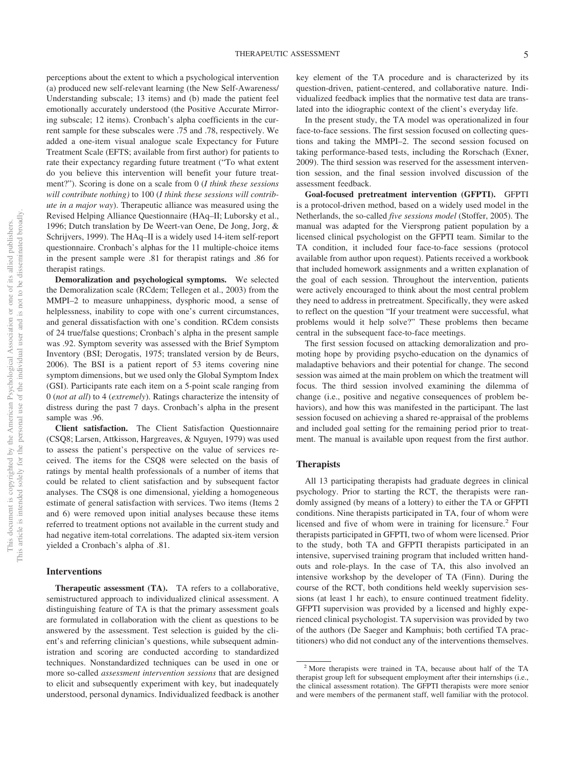perceptions about the extent to which a psychological intervention (a) produced new self-relevant learning (the New Self-Awareness/ Understanding subscale; 13 items) and (b) made the patient feel emotionally accurately understood (the Positive Accurate Mirroring subscale; 12 items). Cronbach's alpha coefficients in the current sample for these subscales were .75 and .78, respectively. We added a one-item visual analogue scale Expectancy for Future Treatment Scale (EFTS; available from first author) for patients to rate their expectancy regarding future treatment ("To what extent do you believe this intervention will benefit your future treatment?"). Scoring is done on a scale from 0 (*I think these sessions will contribute nothing)* to 100 (*I think these sessions will contribute in a major way*). Therapeutic alliance was measured using the Revised Helping Alliance Questionnaire (HAq–II; Luborsky et al., 1996; Dutch translation by De Weert-van Oene, De Jong, Jorg, & Schrijvers, 1999). The HAq–II is a widely used 14-item self-report questionnaire. Cronbach's alphas for the 11 multiple-choice items in the present sample were .81 for therapist ratings and .86 for therapist ratings.

**Demoralization and psychological symptoms.** We selected the Demoralization scale (RCdem; Tellegen et al., 2003) from the MMPI–2 to measure unhappiness, dysphoric mood, a sense of helplessness, inability to cope with one's current circumstances, and general dissatisfaction with one's condition. RCdem consists of 24 true/false questions; Cronbach's alpha in the present sample was .92. Symptom severity was assessed with the Brief Symptom Inventory (BSI; Derogatis, 1975; translated version by de Beurs, 2006). The BSI is a patient report of 53 items covering nine symptom dimensions, but we used only the Global Symptom Index (GSI). Participants rate each item on a 5-point scale ranging from 0 (*not at all*) to 4 (*extremely*). Ratings characterize the intensity of distress during the past 7 days. Cronbach's alpha in the present sample was .96.

**Client satisfaction.** The Client Satisfaction Questionnaire (CSQ8; Larsen, Attkisson, Hargreaves, & Nguyen, 1979) was used to assess the patient's perspective on the value of services received. The items for the CSQ8 were selected on the basis of ratings by mental health professionals of a number of items that could be related to client satisfaction and by subsequent factor analyses. The CSQ8 is one dimensional, yielding a homogeneous estimate of general satisfaction with services. Two items (Items 2 and 6) were removed upon initial analyses because these items referred to treatment options not available in the current study and had negative item-total correlations. The adapted six-item version yielded a Cronbach's alpha of .81.

#### **Interventions**

**Therapeutic assessment (TA).** TA refers to a collaborative, semistructured approach to individualized clinical assessment. A distinguishing feature of TA is that the primary assessment goals are formulated in collaboration with the client as questions to be answered by the assessment. Test selection is guided by the client's and referring clinician's questions, while subsequent administration and scoring are conducted according to standardized techniques. Nonstandardized techniques can be used in one or more so-called *assessment intervention sessions* that are designed to elicit and subsequently experiment with key, but inadequately understood, personal dynamics. Individualized feedback is another key element of the TA procedure and is characterized by its question-driven, patient-centered, and collaborative nature. Individualized feedback implies that the normative test data are translated into the idiographic context of the client's everyday life.

In the present study, the TA model was operationalized in four face-to-face sessions. The first session focused on collecting questions and taking the MMPI–2. The second session focused on taking performance-based tests, including the Rorschach (Exner, 2009). The third session was reserved for the assessment intervention session, and the final session involved discussion of the assessment feedback.

**Goal-focused pretreatment intervention (GFPTI).** GFPTI is a protocol-driven method, based on a widely used model in the Netherlands, the so-called *five sessions model* (Stoffer, 2005). The manual was adapted for the Viersprong patient population by a licensed clinical psychologist on the GFPTI team. Similar to the TA condition, it included four face-to-face sessions (protocol available from author upon request). Patients received a workbook that included homework assignments and a written explanation of the goal of each session. Throughout the intervention, patients were actively encouraged to think about the most central problem they need to address in pretreatment. Specifically, they were asked to reflect on the question "If your treatment were successful, what problems would it help solve?" These problems then became central in the subsequent face-to-face meetings.

The first session focused on attacking demoralization and promoting hope by providing psycho-education on the dynamics of maladaptive behaviors and their potential for change. The second session was aimed at the main problem on which the treatment will focus. The third session involved examining the dilemma of change (i.e., positive and negative consequences of problem behaviors), and how this was manifested in the participant. The last session focused on achieving a shared re-appraisal of the problems and included goal setting for the remaining period prior to treatment. The manual is available upon request from the first author.

# **Therapists**

All 13 participating therapists had graduate degrees in clinical psychology. Prior to starting the RCT, the therapists were randomly assigned (by means of a lottery) to either the TA or GFPTI conditions. Nine therapists participated in TA, four of whom were licensed and five of whom were in training for licensure.<sup>2</sup> Four therapists participated in GFPTI, two of whom were licensed. Prior to the study, both TA and GFPTI therapists participated in an intensive, supervised training program that included written handouts and role-plays. In the case of TA, this also involved an intensive workshop by the developer of TA (Finn). During the course of the RCT, both conditions held weekly supervision sessions (at least 1 hr each), to ensure continued treatment fidelity. GFPTI supervision was provided by a licensed and highly experienced clinical psychologist. TA supervision was provided by two of the authors (De Saeger and Kamphuis; both certified TA practitioners) who did not conduct any of the interventions themselves.

<sup>2</sup> More therapists were trained in TA, because about half of the TA therapist group left for subsequent employment after their internships (i.e., the clinical assessment rotation). The GFPTI therapists were more senior and were members of the permanent staff, well familiar with the protocol.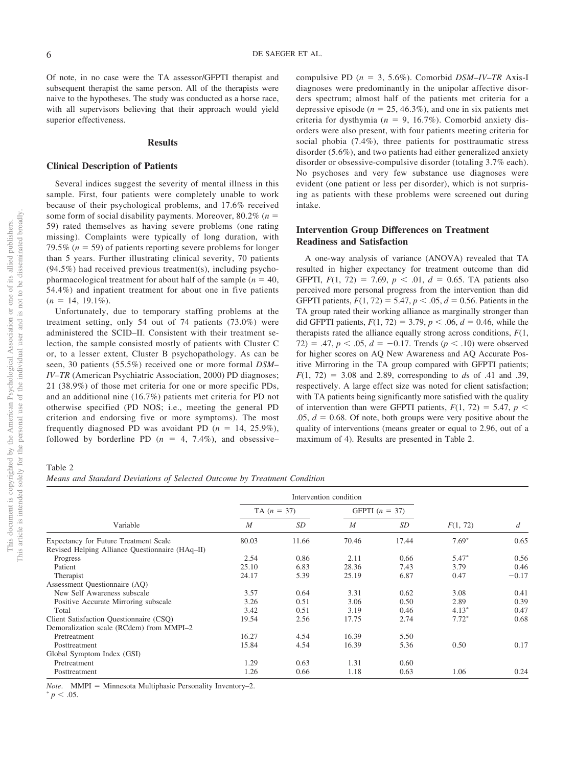Of note, in no case were the TA assessor/GFPTI therapist and subsequent therapist the same person. All of the therapists were naive to the hypotheses. The study was conducted as a horse race, with all supervisors believing that their approach would yield superior effectiveness.

#### **Results**

## **Clinical Description of Patients**

Several indices suggest the severity of mental illness in this sample. First, four patients were completely unable to work because of their psychological problems, and 17.6% received some form of social disability payments. Moreover,  $80.2\%$  ( $n =$ 59) rated themselves as having severe problems (one rating missing). Complaints were typically of long duration, with 79.5% ( $n = 59$ ) of patients reporting severe problems for longer than 5 years. Further illustrating clinical severity, 70 patients (94.5%) had received previous treatment(s), including psychopharmacological treatment for about half of the sample ( $n = 40$ , 54.4%) and inpatient treatment for about one in five patients  $(n = 14, 19.1\%).$ 

Unfortunately, due to temporary staffing problems at the treatment setting, only 54 out of 74 patients (73.0%) were administered the SCID–II. Consistent with their treatment selection, the sample consisted mostly of patients with Cluster C or, to a lesser extent, Cluster B psychopathology. As can be seen, 30 patients (55.5%) received one or more formal *DSM– IV–TR* (American Psychiatric Association, 2000) PD diagnoses; 21 (38.9%) of those met criteria for one or more specific PDs, and an additional nine (16.7%) patients met criteria for PD not otherwise specified (PD NOS; i.e., meeting the general PD criterion and endorsing five or more symptoms). The most frequently diagnosed PD was avoidant PD  $(n = 14, 25.9\%)$ , followed by borderline PD  $(n = 4, 7.4\%)$ , and obsessive– compulsive PD ( $n = 3, 5.6\%$ ). Comorbid *DSM-IV-TR* Axis-I diagnoses were predominantly in the unipolar affective disorders spectrum; almost half of the patients met criteria for a depressive episode ( $n = 25, 46.3\%$ ), and one in six patients met criteria for dysthymia ( $n = 9, 16.7\%$ ). Comorbid anxiety disorders were also present, with four patients meeting criteria for social phobia (7.4%), three patients for posttraumatic stress disorder (5.6%), and two patients had either generalized anxiety disorder or obsessive-compulsive disorder (totaling 3.7% each). No psychoses and very few substance use diagnoses were evident (one patient or less per disorder), which is not surprising as patients with these problems were screened out during intake.

# **Intervention Group Differences on Treatment Readiness and Satisfaction**

A one-way analysis of variance (ANOVA) revealed that TA resulted in higher expectancy for treatment outcome than did GFPTI,  $F(1, 72) = 7.69$ ,  $p < .01$ ,  $d = 0.65$ . TA patients also perceived more personal progress from the intervention than did GFPTI patients,  $F(1, 72) = 5.47$ ,  $p < .05$ ,  $d = 0.56$ . Patients in the TA group rated their working alliance as marginally stronger than did GFPTI patients,  $F(1, 72) = 3.79$ ,  $p < .06$ ,  $d = 0.46$ , while the therapists rated the alliance equally strong across conditions, *F*(1,  $72) = .47, p < .05, d = -0.17$ . Trends ( $p < .10$ ) were observed for higher scores on AQ New Awareness and AQ Accurate Positive Mirroring in the TA group compared with GFPTI patients;  $F(1, 72) = 3.08$  and 2.89, corresponding to *ds* of .41 and .39, respectively. A large effect size was noted for client satisfaction; with TA patients being significantly more satisfied with the quality of intervention than were GFPTI patients,  $F(1, 72) = 5.47$ ,  $p <$  $.05, d = 0.68$ . Of note, both groups were very positive about the quality of interventions (means greater or equal to 2.96, out of a maximum of 4). Results are presented in Table 2.

*Means and Standard Deviations of Selected Outcome by Treatment Condition*

|                                                 |                  | Intervention condition |                  |       |          |         |
|-------------------------------------------------|------------------|------------------------|------------------|-------|----------|---------|
|                                                 | TA $(n = 37)$    |                        | GFPTI $(n = 37)$ |       |          |         |
| Variable                                        | $\boldsymbol{M}$ | SD                     | $\boldsymbol{M}$ | SD    | F(1, 72) | d       |
| <b>Expectancy for Future Treatment Scale</b>    | 80.03            | 11.66                  | 70.46            | 17.44 | $7.69*$  | 0.65    |
| Revised Helping Alliance Questionnaire (HAq-II) |                  |                        |                  |       |          |         |
| Progress                                        | 2.54             | 0.86                   | 2.11             | 0.66  | $5.47*$  | 0.56    |
| Patient                                         | 25.10            | 6.83                   | 28.36            | 7.43  | 3.79     | 0.46    |
| Therapist                                       | 24.17            | 5.39                   | 25.19            | 6.87  | 0.47     | $-0.17$ |
| Assessment Questionnaire (AQ)                   |                  |                        |                  |       |          |         |
| New Self Awareness subscale                     | 3.57             | 0.64                   | 3.31             | 0.62  | 3.08     | 0.41    |
| Positive Accurate Mirroring subscale            | 3.26             | 0.51                   | 3.06             | 0.50  | 2.89     | 0.39    |
| Total                                           | 3.42             | 0.51                   | 3.19             | 0.46  | $4.13*$  | 0.47    |
| Client Satisfaction Questionnaire (CSO)         | 19.54            | 2.56                   | 17.75            | 2.74  | $7.72*$  | 0.68    |
| Demoralization scale (RCdem) from MMPI-2        |                  |                        |                  |       |          |         |
| Pretreatment                                    | 16.27            | 4.54                   | 16.39            | 5.50  |          |         |
| Posttreatment                                   | 15.84            | 4.54                   | 16.39            | 5.36  | 0.50     | 0.17    |
| Global Symptom Index (GSI)                      |                  |                        |                  |       |          |         |
| Pretreatment                                    | 1.29             | 0.63                   | 1.31             | 0.60  |          |         |
| Posttreatment                                   | 1.26             | 0.66                   | 1.18             | 0.63  | 1.06     | 0.24    |

*Note.* MMPI = Minnesota Multiphasic Personality Inventory–2.  $* p < .05$ .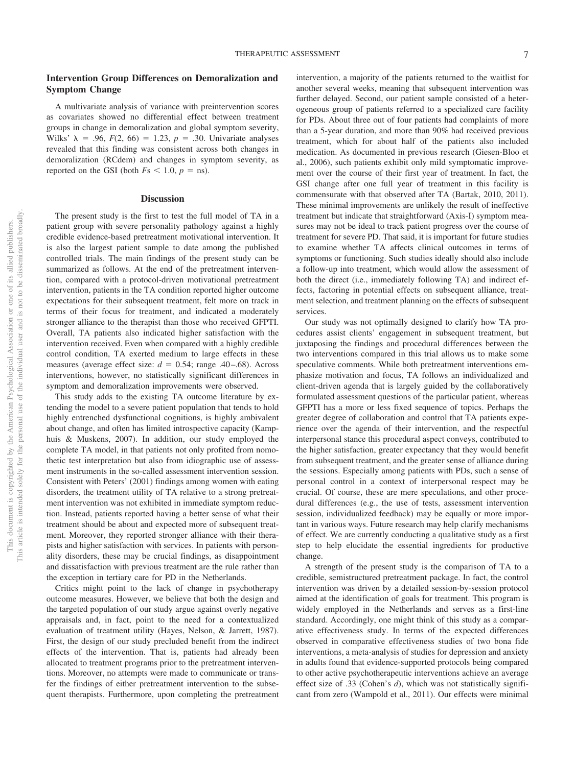# **Intervention Group Differences on Demoralization and Symptom Change**

A multivariate analysis of variance with preintervention scores as covariates showed no differential effect between treatment groups in change in demoralization and global symptom severity, Wilks'  $\lambda = .96$ ,  $F(2, 66) = 1.23$ ,  $p = .30$ . Univariate analyses revealed that this finding was consistent across both changes in demoralization (RCdem) and changes in symptom severity, as reported on the GSI (both  $Fs < 1.0, p = ns$ ).

## **Discussion**

The present study is the first to test the full model of TA in a patient group with severe personality pathology against a highly credible evidence-based pretreatment motivational intervention. It is also the largest patient sample to date among the published controlled trials. The main findings of the present study can be summarized as follows. At the end of the pretreatment intervention, compared with a protocol-driven motivational pretreatment intervention, patients in the TA condition reported higher outcome expectations for their subsequent treatment, felt more on track in terms of their focus for treatment, and indicated a moderately stronger alliance to the therapist than those who received GFPTI. Overall, TA patients also indicated higher satisfaction with the intervention received. Even when compared with a highly credible control condition, TA exerted medium to large effects in these measures (average effect size:  $d = 0.54$ ; range .40–.68). Across interventions, however, no statistically significant differences in symptom and demoralization improvements were observed.

This study adds to the existing TA outcome literature by extending the model to a severe patient population that tends to hold highly entrenched dysfunctional cognitions, is highly ambivalent about change, and often has limited introspective capacity (Kamphuis & Muskens, 2007). In addition, our study employed the complete TA model, in that patients not only profited from nomothetic test interpretation but also from idiographic use of assessment instruments in the so-called assessment intervention session. Consistent with Peters' (2001) findings among women with eating disorders, the treatment utility of TA relative to a strong pretreatment intervention was not exhibited in immediate symptom reduction. Instead, patients reported having a better sense of what their treatment should be about and expected more of subsequent treatment. Moreover, they reported stronger alliance with their therapists and higher satisfaction with services. In patients with personality disorders, these may be crucial findings, as disappointment and dissatisfaction with previous treatment are the rule rather than the exception in tertiary care for PD in the Netherlands.

Critics might point to the lack of change in psychotherapy outcome measures. However, we believe that both the design and the targeted population of our study argue against overly negative appraisals and, in fact, point to the need for a contextualized evaluation of treatment utility (Hayes, Nelson, & Jarrett, 1987). First, the design of our study precluded benefit from the indirect effects of the intervention. That is, patients had already been allocated to treatment programs prior to the pretreatment interventions. Moreover, no attempts were made to communicate or transfer the findings of either pretreatment intervention to the subsequent therapists. Furthermore, upon completing the pretreatment intervention, a majority of the patients returned to the waitlist for another several weeks, meaning that subsequent intervention was further delayed. Second, our patient sample consisted of a heterogeneous group of patients referred to a specialized care facility for PDs. About three out of four patients had complaints of more than a 5-year duration, and more than 90% had received previous treatment, which for about half of the patients also included medication. As documented in previous research (Giesen-Bloo et al., 2006), such patients exhibit only mild symptomatic improvement over the course of their first year of treatment. In fact, the GSI change after one full year of treatment in this facility is commensurate with that observed after TA (Bartak, 2010, 2011). These minimal improvements are unlikely the result of ineffective treatment but indicate that straightforward (Axis-I) symptom measures may not be ideal to track patient progress over the course of treatment for severe PD. That said, it is important for future studies to examine whether TA affects clinical outcomes in terms of symptoms or functioning. Such studies ideally should also include a follow-up into treatment, which would allow the assessment of both the direct (i.e., immediately following TA) and indirect effects, factoring in potential effects on subsequent alliance, treatment selection, and treatment planning on the effects of subsequent services.

Our study was not optimally designed to clarify how TA procedures assist clients' engagement in subsequent treatment, but juxtaposing the findings and procedural differences between the two interventions compared in this trial allows us to make some speculative comments. While both pretreatment interventions emphasize motivation and focus, TA follows an individualized and client-driven agenda that is largely guided by the collaboratively formulated assessment questions of the particular patient, whereas GFPTI has a more or less fixed sequence of topics. Perhaps the greater degree of collaboration and control that TA patients experience over the agenda of their intervention, and the respectful interpersonal stance this procedural aspect conveys, contributed to the higher satisfaction, greater expectancy that they would benefit from subsequent treatment, and the greater sense of alliance during the sessions. Especially among patients with PDs, such a sense of personal control in a context of interpersonal respect may be crucial. Of course, these are mere speculations, and other procedural differences (e.g., the use of tests, assessment intervention session, individualized feedback) may be equally or more important in various ways. Future research may help clarify mechanisms of effect. We are currently conducting a qualitative study as a first step to help elucidate the essential ingredients for productive change.

A strength of the present study is the comparison of TA to a credible, semistructured pretreatment package. In fact, the control intervention was driven by a detailed session-by-session protocol aimed at the identification of goals for treatment. This program is widely employed in the Netherlands and serves as a first-line standard. Accordingly, one might think of this study as a comparative effectiveness study. In terms of the expected differences observed in comparative effectiveness studies of two bona fide interventions, a meta-analysis of studies for depression and anxiety in adults found that evidence-supported protocols being compared to other active psychotherapeutic interventions achieve an average effect size of .33 (Cohen's *d*), which was not statistically significant from zero (Wampold et al., 2011). Our effects were minimal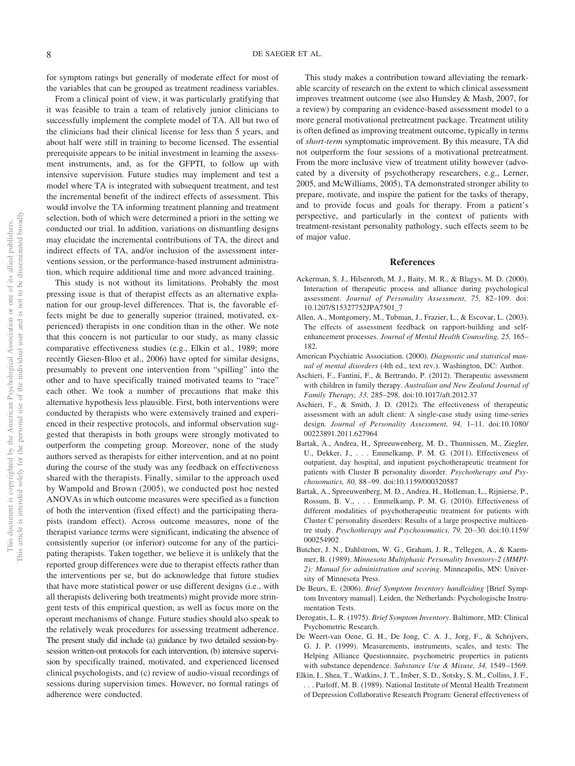for symptom ratings but generally of moderate effect for most of the variables that can be grouped as treatment readiness variables.

From a clinical point of view, it was particularly gratifying that it was feasible to train a team of relatively junior clinicians to successfully implement the complete model of TA. All but two of the clinicians had their clinical license for less than 5 years, and about half were still in training to become licensed. The essential prerequisite appears to be initial investment in learning the assessment instruments, and, as for the GFPTI, to follow up with intensive supervision. Future studies may implement and test a model where TA is integrated with subsequent treatment, and test the incremental benefit of the indirect effects of assessment. This would involve the TA informing treatment planning and treatment selection, both of which were determined a priori in the setting we conducted our trial. In addition, variations on dismantling designs may elucidate the incremental contributions of TA, the direct and indirect effects of TA, and/or inclusion of the assessment interventions session, or the performance-based instrument administration, which require additional time and more advanced training.

This study is not without its limitations. Probably the most pressing issue is that of therapist effects as an alternative explanation for our group-level differences. That is, the favorable effects might be due to generally superior (trained, motivated, experienced) therapists in one condition than in the other. We note that this concern is not particular to our study, as many classic comparative effectiveness studies (e.g., Elkin et al., 1989; more recently Giesen-Bloo et al., 2006) have opted for similar designs, presumably to prevent one intervention from "spilling" into the other and to have specifically trained motivated teams to "race" each other. We took a number of precautions that make this alternative hypothesis less plausible. First, both interventions were conducted by therapists who were extensively trained and experienced in their respective protocols, and informal observation suggested that therapists in both groups were strongly motivated to outperform the competing group. Moreover, none of the study authors served as therapists for either intervention, and at no point during the course of the study was any feedback on effectiveness shared with the therapists. Finally, similar to the approach used by Wampold and Brown (2005), we conducted post hoc nested ANOVAs in which outcome measures were specified as a function of both the intervention (fixed effect) and the participating therapists (random effect). Across outcome measures, none of the therapist variance terms were significant, indicating the absence of consistently superior (or inferior) outcome for any of the participating therapists. Taken together, we believe it is unlikely that the reported group differences were due to therapist effects rather than the interventions per se, but do acknowledge that future studies that have more statistical power or use different designs (i.e., with all therapists delivering both treatments) might provide more stringent tests of this empirical question, as well as focus more on the operant mechanisms of change. Future studies should also speak to the relatively weak procedures for assessing treatment adherence. The present study did include (a) guidance by two detailed session-bysession written-out protocols for each intervention, (b) intensive supervision by specifically trained, motivated, and experienced licensed clinical psychologists, and (c) review of audio-visual recordings of sessions during supervision times. However, no formal ratings of adherence were conducted.

This study makes a contribution toward alleviating the remarkable scarcity of research on the extent to which clinical assessment improves treatment outcome (see also Hunsley & Mash, 2007, for a review) by comparing an evidence-based assessment model to a more general motivational pretreatment package. Treatment utility is often defined as improving treatment outcome, typically in terms of *short-term* symptomatic improvement. By this measure, TA did not outperform the four sessions of a motivational pretreatment. From the more inclusive view of treatment utility however (advocated by a diversity of psychotherapy researchers, e.g., Lerner, 2005, and McWilliams, 2005), TA demonstrated stronger ability to prepare, motivate, and inspire the patient for the tasks of therapy, and to provide focus and goals for therapy. From a patient's perspective, and particularly in the context of patients with treatment-resistant personality pathology, such effects seem to be of major value.

#### **References**

- Ackerman, S. J., Hilsenroth, M. J., Baity, M. R., & Blagys, M. D. (2000). Interaction of therapeutic process and alliance during psychological assessment. *Journal of Personality Assessment, 75,* 82–109. doi: 10.1207/S15327752JPA7501\_7
- Allen, A., Montgomery, M., Tubman, J., Frazier, L., & Escovar, L. (2003). The effects of assessment feedback on rapport-building and selfenhancement processes. *Journal of Mental Health Counseling, 25,* 165– 182.
- American Psychiatric Association. (2000). *Diagnostic and statistical manual of mental disorders* (4th ed., text rev.). Washington, DC: Author.
- Aschieri, F., Fantini, F., & Bertrando, P. (2012). Therapeutic assessment with children in family therapy. *Australian and New Zealand Journal of Family Therapy, 33,* 285–298. doi:10.1017/aft.2012.37
- Aschieri, F., & Smith, J. D. (2012). The effectiveness of therapeutic assessment with an adult client: A single-case study using time-series design. *Journal of Personality Assessment, 94,* 1–11. doi:10.1080/ 00223891.2011.627964
- Bartak, A., Andrea, H., Spreeuwenberg, M. D., Thunnissen, M., Ziegler, U., Dekker, J.,... Emmelkamp, P. M. G. (2011). Effectiveness of outpatient, day hospital, and inpatient psychotherapeutic treatment for patients with Cluster B personality disorder. *Psychotherapy and Psychosomatics, 80,* 88 –99. doi:10.1159/000320587
- Bartak, A., Spreeuwenberg, M. D., Andrea, H., Holleman, L., Rijnierse, P., Rossum, B. V.,... Emmelkamp, P. M. G. (2010). Effectiveness of different modalities of psychotherapeutic treatment for patients with Cluster C personality disorders: Results of a large prospective multicentre study. *Psychotherapy and Psychosomatics, 79,* 20 –30. doi:10.1159/ 000254902
- Butcher, J. N., Dahlstrom, W. G., Graham, J. R., Tellegen, A., & Kaemmer, B. (1989). *Minnesota Multiphasic Personality Inventory-2 (MMPI-2): Manual for administration and scoring*. Minneapolis, MN: University of Minnesota Press.
- De Beurs, E. (2006). *Brief Symptom Inventory handleiding* [Brief Symptom Inventory manual]. Leiden, the Netherlands: Psychologische Instrumentation Tests.
- Derogatis, L. R. (1975). *Brief Symptom Inventory*. Baltimore, MD: Clinical Psychometric Research.
- De Weert-van Oene, G. H., De Jong, C. A. J., Jorg, F., & Schrijvers, G. J. P. (1999). Measurements, instruments, scales, and tests: The Helping Alliance Questionnaire, psychometric properties in patients with substance dependence. *Substance Use & Misuse, 34,* 1549 –1569.
- Elkin, I., Shea, T., Watkins, J. T., Imber, S. D., Sotsky, S. M., Collins, J. F., . . . Parloff, M. B. (1989). National Institute of Mental Health Treatment of Depression Collaborative Research Program: General effectiveness of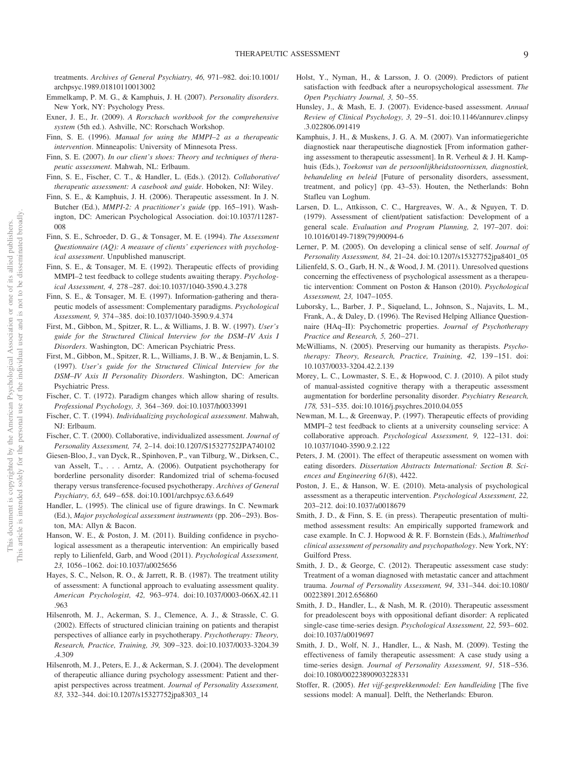treatments. *Archives of General Psychiatry, 46,* 971–982. doi:10.1001/ archpsyc.1989.01810110013002

- Emmelkamp, P. M. G., & Kamphuis, J. H. (2007). *Personality disorders*. New York, NY: Psychology Press.
- Exner, J. E., Jr. (2009). *A Rorschach workbook for the comprehensive system* (5th ed.). Ashville, NC: Rorschach Workshop.
- Finn, S. E. (1996). *Manual for using the MMPI–2 as a therapeutic intervention*. Minneapolis: University of Minnesota Press.
- Finn, S. E. (2007). *In our client's shoes: Theory and techniques of therapeutic assessment*. Mahwah, NL: Erlbaum.
- Finn, S. E., Fischer, C. T., & Handler, L. (Eds.). (2012). *Collaborative/ therapeutic assessment: A casebook and guide*. Hoboken, NJ: Wiley.
- Finn, S. E., & Kamphuis, J. H. (2006). Therapeutic assessment. In J. N. Butcher (Ed.), *MMPI-2: A practitioner's guide* (pp. 165–191). Washington, DC: American Psychological Association. doi:10.1037/11287- 008
- Finn, S. E., Schroeder, D. G., & Tonsager, M. E. (1994). *The Assessment Questionnaire (AQ): A measure of clients' experiences with psychological assessment*. Unpublished manuscript.
- Finn, S. E., & Tonsager, M. E. (1992). Therapeutic effects of providing MMPI–2 test feedback to college students awaiting therapy. *Psychological Assessment, 4,* 278 –287. doi:10.1037/1040-3590.4.3.278
- Finn, S. E., & Tonsager, M. E. (1997). Information-gathering and therapeutic models of assessment: Complementary paradigms. *Psychological Assessment, 9,* 374 –385. doi:10.1037/1040-3590.9.4.374
- First, M., Gibbon, M., Spitzer, R. L., & Williams, J. B. W. (1997). *User's guide for the Structured Clinical Interview for the DSM–IV Axis I Disorders*. Washington, DC: American Psychiatric Press.
- First, M., Gibbon, M., Spitzer, R. L., Williams, J. B. W., & Benjamin, L. S. (1997). *User's guide for the Structured Clinical Interview for the DSM–IV Axis II Personality Disorders*. Washington, DC: American Psychiatric Press.
- Fischer, C. T. (1972). Paradigm changes which allow sharing of results. *Professional Psychology, 3,* 364 –369. doi:10.1037/h0033991
- Fischer, C. T. (1994). *Individualizing psychological assessment*. Mahwah, NJ: Erlbaum.
- Fischer, C. T. (2000). Collaborative, individualized assessment. *Journal of Personality Assessment, 74,* 2–14. doi:10.1207/S15327752JPA740102
- Giesen-Bloo, J., van Dyck, R., Spinhoven, P., van Tilburg, W., Dirksen, C., van Asselt, T.,... Arntz, A. (2006). Outpatient psychotherapy for borderline personality disorder: Randomized trial of schema-focused therapy versus transference-focused psychotherapy. *Archives of General Psychiatry, 63,* 649 – 658. doi:10.1001/archpsyc.63.6.649
- Handler, L. (1995). The clinical use of figure drawings. In C. Newmark (Ed.), *Major psychological assessment instruments* (pp. 206 –293). Boston, MA: Allyn & Bacon.
- Hanson, W. E., & Poston, J. M. (2011). Building confidence in psychological assessment as a therapeutic intervention: An empirically based reply to Lilienfeld, Garb, and Wood (2011). *Psychological Assessment, 23,* 1056 –1062. doi:10.1037/a0025656
- Hayes, S. C., Nelson, R. O., & Jarrett, R. B. (1987). The treatment utility of assessment: A functional approach to evaluating assessment quality. *American Psychologist, 42,* 963–974. doi:10.1037/0003-066X.42.11 .963
- Hilsenroth, M. J., Ackerman, S. J., Clemence, A. J., & Strassle, C. G. (2002). Effects of structured clinician training on patients and therapist perspectives of alliance early in psychotherapy. *Psychotherapy: Theory, Research, Practice, Training, 39,* 309 –323. doi:10.1037/0033-3204.39 .4.309
- Hilsenroth, M. J., Peters, E. J., & Ackerman, S. J. (2004). The development of therapeutic alliance during psychology assessment: Patient and therapist perspectives across treatment. *Journal of Personality Assessment, 83,* 332–344. doi:10.1207/s15327752jpa8303\_14
- Holst, Y., Nyman, H., & Larsson, J. O. (2009). Predictors of patient satisfaction with feedback after a neuropsychological assessment. *The Open Psychiatry Journal, 3,* 50 –55.
- Hunsley, J., & Mash, E. J. (2007). Evidence-based assessment. *Annual Review of Clinical Psychology, 3,* 29 –51. doi:10.1146/annurev.clinpsy .3.022806.091419
- Kamphuis, J. H., & Muskens, J. G. A. M. (2007). Van informatiegerichte diagnostiek naar therapeutische diagnostiek [From information gathering assessment to therapeutic assessment]. In R. Verheul & J. H. Kamphuis (Eds.), *Toekomst van de persoonlijkheidsstoornissen, diagnostiek, behandeling en beleid* [Future of personality disorders, assessment, treatment, and policy] (pp. 43–53). Houten, the Netherlands: Bohn Stafleu van Loghum.
- Larsen, D. L., Attkisson, C. C., Hargreaves, W. A., & Nguyen, T. D. (1979). Assessment of client/patient satisfaction: Development of a general scale. *Evaluation and Program Planning, 2,* 197–207. doi: 10.1016/0149-7189(79)90094-6
- Lerner, P. M. (2005). On developing a clinical sense of self. *Journal of Personality Assessment, 84,* 21–24. doi:10.1207/s15327752jpa8401\_05
- Lilienfeld, S. O., Garb, H. N., & Wood, J. M. (2011). Unresolved questions concerning the effectiveness of psychological assessment as a therapeutic intervention: Comment on Poston & Hanson (2010). *Psychological Assessment, 23,* 1047–1055.
- Luborsky, L., Barber, J. P., Siqueland, L., Johnson, S., Najavits, L. M., Frank, A., & Daley, D. (1996). The Revised Helping Alliance Questionnaire (HAq–II): Psychometric properties. *Journal of Psychotherapy Practice and Research, 5,* 260 –271.
- McWilliams, N. (2005). Preserving our humanity as therapists. *Psychotherapy: Theory, Research, Practice, Training, 42,* 139 –151. doi: 10.1037/0033-3204.42.2.139
- Morey, L. C., Lowmaster, S. E., & Hopwood, C. J. (2010). A pilot study of manual-assisted cognitive therapy with a therapeutic assessment augmentation for borderline personality disorder. *Psychiatry Research, 178,* 531–535. doi:10.1016/j.psychres.2010.04.055
- Newman, M. L., & Greenway, P. (1997). Therapeutic effects of providing MMPI–2 test feedback to clients at a university counseling service: A collaborative approach. *Psychological Assessment, 9,* 122–131. doi: 10.1037/1040-3590.9.2.122
- Peters, J. M. (2001). The effect of therapeutic assessment on women with eating disorders. *Dissertation Abstracts International: Section B. Sciences and Engineering 61*(8), 4422.
- Poston, J. E., & Hanson, W. E. (2010). Meta-analysis of psychological assessment as a therapeutic intervention. *Psychological Assessment, 22,* 203–212. doi:10.1037/a0018679
- Smith, J. D., & Finn, S. E. (in press). Therapeutic presentation of multimethod assessment results: An empirically supported framework and case example. In C. J. Hopwood & R. F. Bornstein (Eds.), *Multimethod clinical assessment of personality and psychopathology*. New York, NY: Guilford Press.
- Smith, J. D., & George, C. (2012). Therapeutic assessment case study: Treatment of a woman diagnosed with metastatic cancer and attachment trauma. *Journal of Personality Assessment, 94,* 331–344. doi:10.1080/ 00223891.2012.656860
- Smith, J. D., Handler, L., & Nash, M. R. (2010). Therapeutic assessment for preadolescent boys with oppositional defiant disorder: A replicated single-case time-series design. *Psychological Assessment*, 22, 593-602. doi:10.1037/a0019697
- Smith, J. D., Wolf, N. J., Handler, L., & Nash, M. (2009). Testing the effectiveness of family therapeutic assessment: A case study using a time-series design. *Journal of Personality Assessment, 91,* 518 –536. doi:10.1080/00223890903228331
- Stoffer, R. (2005). *Het vijf-gesprekkenmodel: Een handleiding* [The five sessions model: A manual]. Delft, the Netherlands: Eburon.